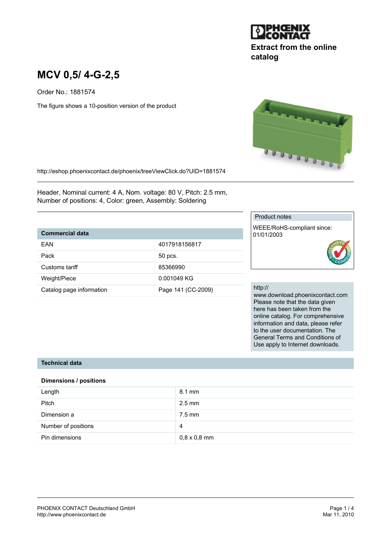

# **Extract from the online catalog**

# **MCV 0,5/ 4-G-2,5**

Order No.: 1881574

The figure shows a 10-position version of the product



http://eshop.phoenixcontact.de/phoenix/treeViewClick.do?UID=1881574

Header, Nominal current: 4 A, Nom. voltage: 80 V, Pitch: 2.5 mm, Number of positions: 4, Color: green, Assembly: Soldering

## **Commercial data**

| FAN                      | 4017918156817      |
|--------------------------|--------------------|
|                          |                    |
| Pack                     | 50 pcs.            |
| Customs tariff           | 85366990           |
|                          |                    |
| Weight/Piece             | 0.001049 KG        |
|                          |                    |
|                          |                    |
| Catalog page information | Page 141 (CC-2009) |

#### Product notes

WEEE/RoHS-compliant since: 01/01/2003

#### http://

www.download.phoenixcontact.com Please note that the data given here has been taken from the online catalog. For comprehensive information and data, please refer to the user documentation. The General Terms and Conditions of Use apply to Internet downloads.

#### **Technical data**

#### **Dimensions / positions**

| Length              | $8.1 \text{ mm}$    |
|---------------------|---------------------|
| <b>Pitch</b>        | $2.5$ mm            |
| Dimension a         | 7.5 mm              |
| Number of positions | 4                   |
| Pin dimensions      | $0,8 \times 0,8$ mm |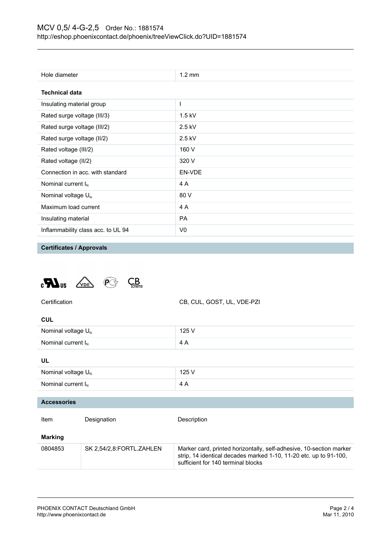| Hole diameter                      | $1.2 \text{ mm}$ |  |
|------------------------------------|------------------|--|
| <b>Technical data</b>              |                  |  |
| Insulating material group          | ı                |  |
| Rated surge voltage (III/3)        | $1.5$ kV         |  |
| Rated surge voltage (III/2)        | $2.5$ kV         |  |
| Rated surge voltage (II/2)         | $2.5$ kV         |  |
| Rated voltage (III/2)              | 160 V            |  |
| Rated voltage (II/2)               | 320 V            |  |
| Connection in acc. with standard   | EN-VDE           |  |
| Nominal current $I_N$              | 4 A              |  |
| Nominal voltage $U_N$              | 80 V             |  |
| Maximum load current               | 4 A              |  |
| Insulating material                | <b>PA</b>        |  |
| Inflammability class acc. to UL 94 | V0               |  |

**Certificates / Approvals**

**CUL**





| Nominal voltage $U_{N}$ |                          | 125 V                                                                                                                                                                          |
|-------------------------|--------------------------|--------------------------------------------------------------------------------------------------------------------------------------------------------------------------------|
| Nominal current $I_N$   |                          | 4 A                                                                                                                                                                            |
| UL                      |                          |                                                                                                                                                                                |
| Nominal voltage $U_{N}$ |                          | 125 V                                                                                                                                                                          |
| Nominal current $I_N$   |                          | 4 A                                                                                                                                                                            |
|                         |                          |                                                                                                                                                                                |
| <b>Accessories</b>      |                          |                                                                                                                                                                                |
| Item                    | Designation              | Description                                                                                                                                                                    |
| <b>Marking</b>          |                          |                                                                                                                                                                                |
| 0804853                 | SK 2,54/2,8:FORTL.ZAHLEN | Marker card, printed horizontally, self-adhesive, 10-section marker<br>strip, 14 identical decades marked 1-10, 11-20 etc. up to 91-100,<br>sufficient for 140 terminal blocks |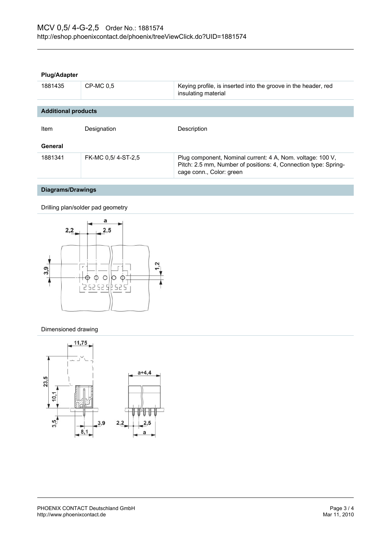#### **Plug/Adapter**

| 1881435                    | CP-MC 0.5          | Keying profile, is inserted into the groove in the header, red<br>insulating material                                                                     |
|----------------------------|--------------------|-----------------------------------------------------------------------------------------------------------------------------------------------------------|
| <b>Additional products</b> |                    |                                                                                                                                                           |
| Item                       | Designation        | Description                                                                                                                                               |
| General                    |                    |                                                                                                                                                           |
| 1881341                    | FK-MC 0.5/4-ST-2.5 | Plug component, Nominal current: 4 A, Nom. voltage: 100 V,<br>Pitch: 2.5 mm, Number of positions: 4, Connection type: Spring-<br>cage conn., Color: green |

# **Diagrams/Drawings**

Drilling plan/solder pad geometry



#### Dimensioned drawing